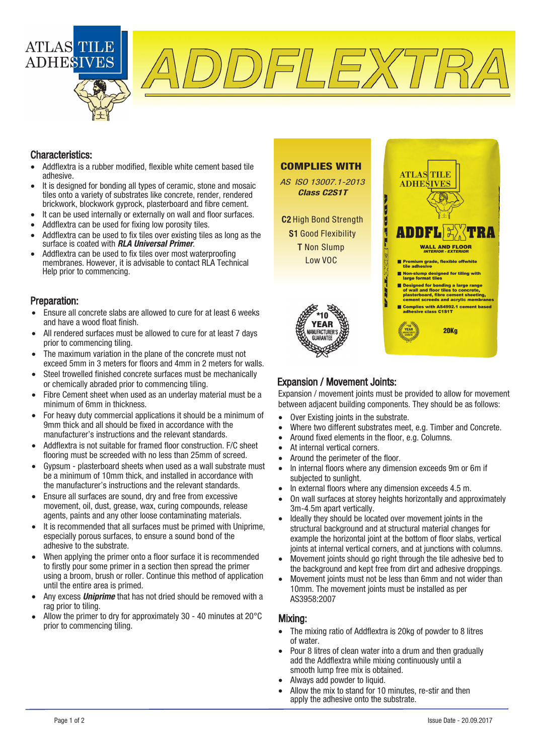

DFLEXTF

### Characteristics:

- Addflextra is a rubber modified, flexible white cement based tile adhesive.
- It is designed for bonding all types of ceramic, stone and mosaic tiles onto a variety of substrates like concrete, render, rendered brickwork, blockwork gyprock, plasterboard and fibre cement.
- lt can be used internally or externally on wall and floor surfaces.
- Addflextra can be used for fixing low porosity tiles.
- Addflextra can be used to fix tiles over existing tiles as long as the surface is coated with **RLA Universal Primer**.
- Addflextra can be used to fix tiles over most waterproofing membranes. However, it is advisable to contact RLA Technical Help prior to commencing.

#### Preparation:

- Ensure all concrete slabs are allowed to cure for at least 6 weeks and have a wood float finish.
- All rendered surfaces must be allowed to cure for at least 7 days prior to commencing tiling.
- The maximum variation in the plane of the concrete must not exceed 5mm in 3 meters for floors and 4mm in 2 meters for walls.
- Steel trowelled finished concrete surfaces must be mechanically or chemically abraded prior to commencing tiling.
- Fibre Cement sheet when used as an underlay material must be a minimum of 6mm in thickness.
- For heavy duty commercial applications it should be a minimum of 9mm thick and all should be fixed in accordance with the manufacturer's instructions and the relevant standards.
- Addflextra is not suitable for framed floor construction. F/C sheet flooring must be screeded with no less than 25mm of screed.
- Gypsum plasterboard sheets when used as a wall substrate must be a minimum of 10mm thick, and installed in accordance with the manufacturer's instructions and the relevant standards.
- Ensure all surfaces are sound, dry and free from excessive movement, oil, dust, grease, wax, curing compounds, release agents, paints and any other loose contaminating materials.
- lt is recommended that all surfaces must be primed with Uniprime, especially porous surfaces, to ensure a sound bond of the adhesive to the substrate.
- When applying the primer onto a floor surface it is recommended to firstly pour some primer in a section then spread the primer using a broom, brush or roller. Continue this method of application until the entire area is primed.
- Any excess **Uniprime** that has not dried should be removed with a rag prior to tiling.
- Allow the primer to dry for approximately 30 - 40 minutes at 20°C prior to commencing tiling.

#### COMPLIES WITH

AS ISO 13007.1-2013 Class C2S1T

C2 High Bond Strength S1 Good Flexibility T Non Slump



m



## Expansion / Movement Joints:

Expansion / movement joints must be provided to allow for movement between adjacent building components. They should be as follows:

- Over Existing joints in the substrate.
- Where two different substrates meet, e.g. Timber and Concrete.
- Around fixed elements in the floor, e.g. Columns.
- At internal vertical corners.
- Around the perimeter of the floor.
- ln internal floors where any dimension exceeds 9m or 6m if subjected to sunlight.
- In external floors where any dimension exceeds 4.5 m.
- On wall surfaces at storey heights horizontally and approximately 3m-4.5m apart vertically.
- Ideally they should be located over movement joints in the structural background and at structural material changes for example the horizontal joint at the bottom of floor slabs, vertical joints at internal vertical corners, and at junctions with columns.
- Movement joints should go right through the tile adhesive bed to the background and kept free from dirt and adhesive droppings.
- Movement joints must not be less than 6mm and not wider than 10mm. The movement joints must be installed as per AS3958:2007

#### Mixing:

- The mixing ratio of Addflextra is 20kg of powder to 8 litres of water.
- Pour 8 litres of clean water into a drum and then gradually add the Addflextra while mixing continuously until a smooth lump free mix is obtained.
- Always add powder to liquid.
- Allow the mix to stand for 10 minutes, re-stir and then apply the adhesive onto the substrate.